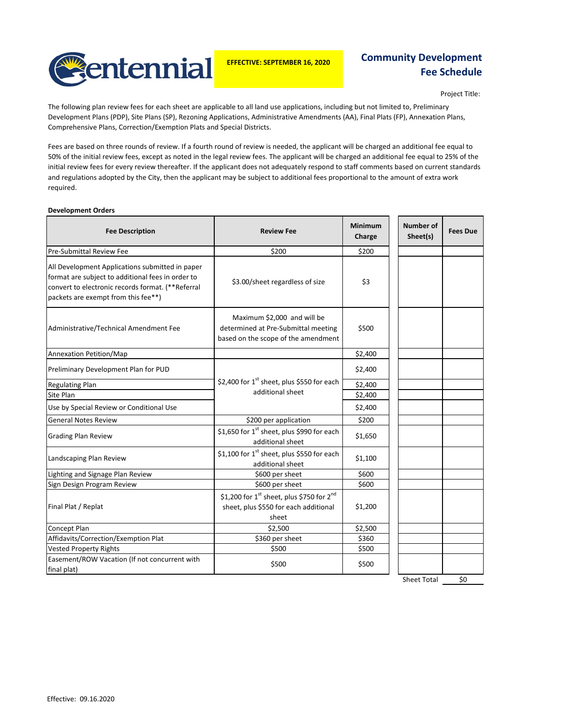

**EFFECTIVE: SEPTEMBER 16, 2020**

# **Community Development Fee Schedule**

Project Title:

The following plan review fees for each sheet are applicable to all land use applications, including but not limited to, Preliminary Development Plans (PDP), Site Plans (SP), Rezoning Applications, Administrative Amendments (AA), Final Plats (FP), Annexation Plans, Comprehensive Plans, Correction/Exemption Plats and Special Districts.

Fees are based on three rounds of review. If a fourth round of review is needed, the applicant will be charged an additional fee equal to 50% of the initial review fees, except as noted in the legal review fees. The applicant will be charged an additional fee equal to 25% of the initial review fees for every review thereafter. If the applicant does not adequately respond to staff comments based on current standards and regulations adopted by the City, then the applicant may be subject to additional fees proportional to the amount of extra work required.

#### **Development Orders**

| <b>Fee Description</b>                                                                                                                                                                           | <b>Review Fee</b>                                                                                         | <b>Minimum</b><br>Charge | <b>Number of</b><br>Sheet(s) | <b>Fees Due</b> |
|--------------------------------------------------------------------------------------------------------------------------------------------------------------------------------------------------|-----------------------------------------------------------------------------------------------------------|--------------------------|------------------------------|-----------------|
| <b>Pre-Submittal Review Fee</b>                                                                                                                                                                  | \$200                                                                                                     | \$200                    |                              |                 |
| All Development Applications submitted in paper<br>format are subject to additional fees in order to<br>convert to electronic records format. (**Referral<br>packets are exempt from this fee**) | \$3.00/sheet regardless of size                                                                           | \$3                      |                              |                 |
| Administrative/Technical Amendment Fee                                                                                                                                                           | Maximum \$2,000 and will be<br>determined at Pre-Submittal meeting<br>based on the scope of the amendment | \$500                    |                              |                 |
| Annexation Petition/Map                                                                                                                                                                          |                                                                                                           | \$2,400                  |                              |                 |
| Preliminary Development Plan for PUD                                                                                                                                                             |                                                                                                           | \$2,400                  |                              |                 |
| <b>Regulating Plan</b>                                                                                                                                                                           | \$2,400 for 1 <sup>st</sup> sheet, plus \$550 for each                                                    | \$2,400                  |                              |                 |
| Site Plan                                                                                                                                                                                        | additional sheet                                                                                          | \$2,400                  |                              |                 |
| Use by Special Review or Conditional Use                                                                                                                                                         |                                                                                                           | \$2,400                  |                              |                 |
| <b>General Notes Review</b>                                                                                                                                                                      | \$200 per application                                                                                     | \$200                    |                              |                 |
| <b>Grading Plan Review</b>                                                                                                                                                                       | \$1,650 for 1 <sup>st</sup> sheet, plus \$990 for each<br>additional sheet                                | \$1,650                  |                              |                 |
| Landscaping Plan Review                                                                                                                                                                          | \$1,100 for 1 <sup>st</sup> sheet, plus \$550 for each<br>additional sheet                                | \$1,100                  |                              |                 |
| Lighting and Signage Plan Review                                                                                                                                                                 | \$600 per sheet                                                                                           | \$600                    |                              |                 |
| Sign Design Program Review                                                                                                                                                                       | \$600 per sheet                                                                                           | \$600                    |                              |                 |
| Final Plat / Replat                                                                                                                                                                              | \$1,200 for $1^{st}$ sheet, plus \$750 for $2^{nd}$<br>sheet, plus \$550 for each additional<br>sheet     | \$1,200                  |                              |                 |
| <b>Concept Plan</b>                                                                                                                                                                              | \$2,500                                                                                                   | \$2,500                  |                              |                 |
| Affidavits/Correction/Exemption Plat                                                                                                                                                             | \$360 per sheet                                                                                           | \$360                    |                              |                 |
| <b>Vested Property Rights</b>                                                                                                                                                                    | \$500                                                                                                     | \$500                    |                              |                 |
| Easement/ROW Vacation (If not concurrent with<br>final plat)                                                                                                                                     | \$500                                                                                                     | \$500                    |                              |                 |

Sheet Total \$0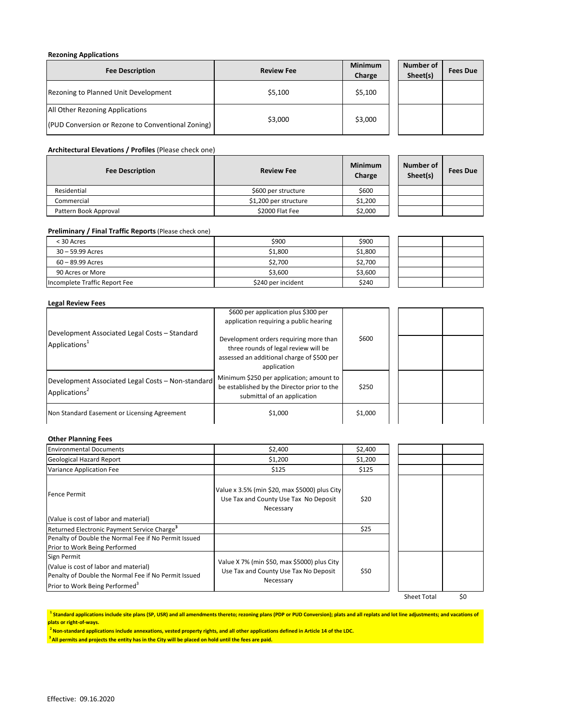### **Rezoning Applications**

| <b>Fee Description</b>                            | <b>Review Fee</b> | <b>Minimum</b><br>Charge | Number of<br>Sheet(s) | <b>Fees Due</b> |
|---------------------------------------------------|-------------------|--------------------------|-----------------------|-----------------|
| Rezoning to Planned Unit Development              | \$5,100           | \$5,100                  |                       |                 |
| All Other Rezoning Applications                   |                   |                          |                       |                 |
| (PUD Conversion or Rezone to Conventional Zoning) | \$3,000           | \$3,000                  |                       |                 |

### **Architectural Elevations / Profiles** (Please check one)

| <b>Fee Description</b> | <b>Review Fee</b>     | <b>Minimum</b><br>Charge | Number of<br>Sheet(s) | <b>Fees Due</b> |
|------------------------|-----------------------|--------------------------|-----------------------|-----------------|
| Residential            | \$600 per structure   | \$600                    |                       |                 |
| Commercial             | \$1,200 per structure | \$1,200                  |                       |                 |
| Pattern Book Approval  | \$2000 Flat Fee       | \$2,000                  |                       |                 |

### **Preliminary / Final Traffic Reports**(Please check one)

| < 30 Acres                    | \$900              | \$900   |  |
|-------------------------------|--------------------|---------|--|
| $30 - 59.99$ Acres            | \$1,800            | \$1,800 |  |
| 60 – 89.99 Acres              | \$2.700            | \$2,700 |  |
| 90 Acres or More              | \$3,600            | \$3,600 |  |
| Incomplete Traffic Report Fee | \$240 per incident | \$240   |  |

### **Legal Review Fees**

|                                                                                | \$600 per application plus \$300 per<br>application requiring a public hearing                                                              |         |  |
|--------------------------------------------------------------------------------|---------------------------------------------------------------------------------------------------------------------------------------------|---------|--|
| Development Associated Legal Costs - Standard<br>Applications <sup>1</sup>     | Development orders requiring more than<br>three rounds of legal review will be<br>assessed an additional charge of \$500 per<br>application | \$600   |  |
| Development Associated Legal Costs - Non-standard<br>Applications <sup>2</sup> | Minimum \$250 per application; amount to<br>be established by the Director prior to the<br>submittal of an application                      | \$250   |  |
| Non Standard Easement or Licensing Agreement                                   | \$1,000                                                                                                                                     | \$1,000 |  |

## **Other Planning Fees**

| <b>Environmental Documents</b>                                                                                                              | \$2,400                                                                                             | \$2,400 |  |
|---------------------------------------------------------------------------------------------------------------------------------------------|-----------------------------------------------------------------------------------------------------|---------|--|
| <b>Geological Hazard Report</b>                                                                                                             | \$1,200                                                                                             | \$1,200 |  |
| Variance Application Fee                                                                                                                    | \$125                                                                                               | \$125   |  |
| <b>Fence Permit</b>                                                                                                                         | Value x 3.5% (min \$20, max \$5000) plus City<br>Use Tax and County Use Tax No Deposit<br>Necessary | \$20    |  |
| (Value is cost of labor and material)                                                                                                       |                                                                                                     |         |  |
| Returned Electronic Payment Service Charge <sup>3</sup>                                                                                     |                                                                                                     | \$25    |  |
| Penalty of Double the Normal Fee if No Permit Issued                                                                                        |                                                                                                     |         |  |
| Prior to Work Being Performed                                                                                                               |                                                                                                     |         |  |
| Sign Permit                                                                                                                                 |                                                                                                     |         |  |
| (Value is cost of labor and material)<br>Penalty of Double the Normal Fee if No Permit Issued<br>Prior to Work Being Performed <sup>3</sup> | Value X 7% (min \$50, max \$5000) plus City<br>Use Tax and County Use Tax No Deposit<br>Necessary   | \$50    |  |
|                                                                                                                                             |                                                                                                     |         |  |

Sheet Total \$0

<sup>1</sup> Standard applications include site plans (SP, USR) and all amendments thereto; rezoning plans (PDP or PUD Conversion); plats and all replats and lot line adjustments; and vacations of **plats or right-of-ways.**

 **2 Non-standard applications include annexations, vested property rights, and all other applications defined in Article 14 of the LDC.** 

**3 All permits and projects the entity has in the City will be placed on hold until the fees are paid.**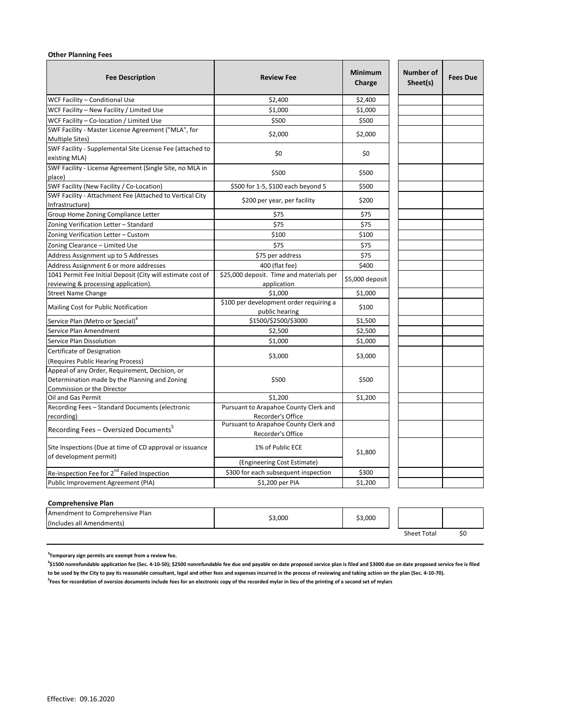### **Other Planning Fees**

| WCF Facility - Conditional Use<br>\$2,400<br>\$2,400<br>\$1,000<br>WCF Facility - New Facility / Limited Use<br>\$1,000<br>WCF Facility - Co-location / Limited Use<br>\$500<br>\$500<br>SWF Facility - Master License Agreement ("MLA", for<br>\$2,000<br>\$2,000<br>Multiple Sites)<br>SWF Facility - Supplemental Site License Fee (attached to<br>\$0<br>\$0<br>existing MLA)<br>SWF Facility - License Agreement (Single Site, no MLA in<br>\$500<br>\$500<br>place)<br>SWF Facility (New Facility / Co-Location)<br>\$500 for 1-5, \$100 each beyond 5<br>\$500<br>SWF Facility - Attachment Fee (Attached to Vertical City<br>\$200 per year, per facility<br>\$200<br>Infrastructure)<br>Group Home Zoning Compliance Letter<br>\$75<br>\$75<br>\$75<br>\$75<br>Zoning Verification Letter - Standard<br>\$100<br>Zoning Verification Letter - Custom<br>\$100<br>\$75<br>Zoning Clearance - Limited Use<br>\$75<br>Address Assignment up to 5 Addresses<br>\$75<br>\$75 per address<br>Address Assignment 6 or more addresses<br>400 (flat fee)<br>\$400<br>1041 Permit Fee Initial Deposit (City will estimate cost of<br>\$25,000 deposit. Time and materials per<br>\$5,000 deposit<br>reviewing & processing application).<br>application<br>\$1,000<br><b>Street Name Change</b><br>\$1,000<br>\$100 per development order requiring a<br>Mailing Cost for Public Notification<br>\$100<br>public hearing<br>\$1500/\$2500/\$3000<br>Service Plan (Metro or Special) <sup>4</sup><br>\$1,500<br>\$2,500<br>\$2,500<br>Service Plan Amendment<br>Service Plan Dissolution<br>\$1,000<br>\$1,000<br>Certificate of Designation<br>\$3,000<br>\$3,000<br>(Requires Public Hearing Process)<br>Appeal of any Order, Requirement, Decision, or<br>Determination made by the Planning and Zoning<br>\$500<br>\$500<br>Commission or the Director<br>Oil and Gas Permit<br>\$1,200<br>\$1,200<br>Recording Fees - Standard Documents (electronic<br>Pursuant to Arapahoe County Clerk and<br>Recorder's Office<br>recording)<br>Pursuant to Arapahoe County Clerk and<br>Recording Fees - Oversized Documents <sup>5</sup><br>Recorder's Office<br>1% of Public ECE<br>Site Inspections (Due at time of CD approval or issuance<br>\$1,800<br>of development permit)<br>(Engineering Cost Estimate)<br>Re-inspection Fee for 2 <sup>nd</sup> Failed Inspection<br>\$300 for each subsequent inspection<br>\$300 | <b>Fee Description</b> | <b>Review Fee</b> | <b>Minimum</b><br>Charge | <b>Number of</b><br>Sheet(s) | <b>Fees Due</b> |
|------------------------------------------------------------------------------------------------------------------------------------------------------------------------------------------------------------------------------------------------------------------------------------------------------------------------------------------------------------------------------------------------------------------------------------------------------------------------------------------------------------------------------------------------------------------------------------------------------------------------------------------------------------------------------------------------------------------------------------------------------------------------------------------------------------------------------------------------------------------------------------------------------------------------------------------------------------------------------------------------------------------------------------------------------------------------------------------------------------------------------------------------------------------------------------------------------------------------------------------------------------------------------------------------------------------------------------------------------------------------------------------------------------------------------------------------------------------------------------------------------------------------------------------------------------------------------------------------------------------------------------------------------------------------------------------------------------------------------------------------------------------------------------------------------------------------------------------------------------------------------------------------------------------------------------------------------------------------------------------------------------------------------------------------------------------------------------------------------------------------------------------------------------------------------------------------------------------------------------------------------------------------------------------------------------------------------------------------------------------------------------------------------------------------|------------------------|-------------------|--------------------------|------------------------------|-----------------|
|                                                                                                                                                                                                                                                                                                                                                                                                                                                                                                                                                                                                                                                                                                                                                                                                                                                                                                                                                                                                                                                                                                                                                                                                                                                                                                                                                                                                                                                                                                                                                                                                                                                                                                                                                                                                                                                                                                                                                                                                                                                                                                                                                                                                                                                                                                                                                                                                                        |                        |                   |                          |                              |                 |
|                                                                                                                                                                                                                                                                                                                                                                                                                                                                                                                                                                                                                                                                                                                                                                                                                                                                                                                                                                                                                                                                                                                                                                                                                                                                                                                                                                                                                                                                                                                                                                                                                                                                                                                                                                                                                                                                                                                                                                                                                                                                                                                                                                                                                                                                                                                                                                                                                        |                        |                   |                          |                              |                 |
|                                                                                                                                                                                                                                                                                                                                                                                                                                                                                                                                                                                                                                                                                                                                                                                                                                                                                                                                                                                                                                                                                                                                                                                                                                                                                                                                                                                                                                                                                                                                                                                                                                                                                                                                                                                                                                                                                                                                                                                                                                                                                                                                                                                                                                                                                                                                                                                                                        |                        |                   |                          |                              |                 |
|                                                                                                                                                                                                                                                                                                                                                                                                                                                                                                                                                                                                                                                                                                                                                                                                                                                                                                                                                                                                                                                                                                                                                                                                                                                                                                                                                                                                                                                                                                                                                                                                                                                                                                                                                                                                                                                                                                                                                                                                                                                                                                                                                                                                                                                                                                                                                                                                                        |                        |                   |                          |                              |                 |
|                                                                                                                                                                                                                                                                                                                                                                                                                                                                                                                                                                                                                                                                                                                                                                                                                                                                                                                                                                                                                                                                                                                                                                                                                                                                                                                                                                                                                                                                                                                                                                                                                                                                                                                                                                                                                                                                                                                                                                                                                                                                                                                                                                                                                                                                                                                                                                                                                        |                        |                   |                          |                              |                 |
|                                                                                                                                                                                                                                                                                                                                                                                                                                                                                                                                                                                                                                                                                                                                                                                                                                                                                                                                                                                                                                                                                                                                                                                                                                                                                                                                                                                                                                                                                                                                                                                                                                                                                                                                                                                                                                                                                                                                                                                                                                                                                                                                                                                                                                                                                                                                                                                                                        |                        |                   |                          |                              |                 |
|                                                                                                                                                                                                                                                                                                                                                                                                                                                                                                                                                                                                                                                                                                                                                                                                                                                                                                                                                                                                                                                                                                                                                                                                                                                                                                                                                                                                                                                                                                                                                                                                                                                                                                                                                                                                                                                                                                                                                                                                                                                                                                                                                                                                                                                                                                                                                                                                                        |                        |                   |                          |                              |                 |
|                                                                                                                                                                                                                                                                                                                                                                                                                                                                                                                                                                                                                                                                                                                                                                                                                                                                                                                                                                                                                                                                                                                                                                                                                                                                                                                                                                                                                                                                                                                                                                                                                                                                                                                                                                                                                                                                                                                                                                                                                                                                                                                                                                                                                                                                                                                                                                                                                        |                        |                   |                          |                              |                 |
|                                                                                                                                                                                                                                                                                                                                                                                                                                                                                                                                                                                                                                                                                                                                                                                                                                                                                                                                                                                                                                                                                                                                                                                                                                                                                                                                                                                                                                                                                                                                                                                                                                                                                                                                                                                                                                                                                                                                                                                                                                                                                                                                                                                                                                                                                                                                                                                                                        |                        |                   |                          |                              |                 |
|                                                                                                                                                                                                                                                                                                                                                                                                                                                                                                                                                                                                                                                                                                                                                                                                                                                                                                                                                                                                                                                                                                                                                                                                                                                                                                                                                                                                                                                                                                                                                                                                                                                                                                                                                                                                                                                                                                                                                                                                                                                                                                                                                                                                                                                                                                                                                                                                                        |                        |                   |                          |                              |                 |
|                                                                                                                                                                                                                                                                                                                                                                                                                                                                                                                                                                                                                                                                                                                                                                                                                                                                                                                                                                                                                                                                                                                                                                                                                                                                                                                                                                                                                                                                                                                                                                                                                                                                                                                                                                                                                                                                                                                                                                                                                                                                                                                                                                                                                                                                                                                                                                                                                        |                        |                   |                          |                              |                 |
|                                                                                                                                                                                                                                                                                                                                                                                                                                                                                                                                                                                                                                                                                                                                                                                                                                                                                                                                                                                                                                                                                                                                                                                                                                                                                                                                                                                                                                                                                                                                                                                                                                                                                                                                                                                                                                                                                                                                                                                                                                                                                                                                                                                                                                                                                                                                                                                                                        |                        |                   |                          |                              |                 |
|                                                                                                                                                                                                                                                                                                                                                                                                                                                                                                                                                                                                                                                                                                                                                                                                                                                                                                                                                                                                                                                                                                                                                                                                                                                                                                                                                                                                                                                                                                                                                                                                                                                                                                                                                                                                                                                                                                                                                                                                                                                                                                                                                                                                                                                                                                                                                                                                                        |                        |                   |                          |                              |                 |
|                                                                                                                                                                                                                                                                                                                                                                                                                                                                                                                                                                                                                                                                                                                                                                                                                                                                                                                                                                                                                                                                                                                                                                                                                                                                                                                                                                                                                                                                                                                                                                                                                                                                                                                                                                                                                                                                                                                                                                                                                                                                                                                                                                                                                                                                                                                                                                                                                        |                        |                   |                          |                              |                 |
|                                                                                                                                                                                                                                                                                                                                                                                                                                                                                                                                                                                                                                                                                                                                                                                                                                                                                                                                                                                                                                                                                                                                                                                                                                                                                                                                                                                                                                                                                                                                                                                                                                                                                                                                                                                                                                                                                                                                                                                                                                                                                                                                                                                                                                                                                                                                                                                                                        |                        |                   |                          |                              |                 |
|                                                                                                                                                                                                                                                                                                                                                                                                                                                                                                                                                                                                                                                                                                                                                                                                                                                                                                                                                                                                                                                                                                                                                                                                                                                                                                                                                                                                                                                                                                                                                                                                                                                                                                                                                                                                                                                                                                                                                                                                                                                                                                                                                                                                                                                                                                                                                                                                                        |                        |                   |                          |                              |                 |
|                                                                                                                                                                                                                                                                                                                                                                                                                                                                                                                                                                                                                                                                                                                                                                                                                                                                                                                                                                                                                                                                                                                                                                                                                                                                                                                                                                                                                                                                                                                                                                                                                                                                                                                                                                                                                                                                                                                                                                                                                                                                                                                                                                                                                                                                                                                                                                                                                        |                        |                   |                          |                              |                 |
|                                                                                                                                                                                                                                                                                                                                                                                                                                                                                                                                                                                                                                                                                                                                                                                                                                                                                                                                                                                                                                                                                                                                                                                                                                                                                                                                                                                                                                                                                                                                                                                                                                                                                                                                                                                                                                                                                                                                                                                                                                                                                                                                                                                                                                                                                                                                                                                                                        |                        |                   |                          |                              |                 |
|                                                                                                                                                                                                                                                                                                                                                                                                                                                                                                                                                                                                                                                                                                                                                                                                                                                                                                                                                                                                                                                                                                                                                                                                                                                                                                                                                                                                                                                                                                                                                                                                                                                                                                                                                                                                                                                                                                                                                                                                                                                                                                                                                                                                                                                                                                                                                                                                                        |                        |                   |                          |                              |                 |
|                                                                                                                                                                                                                                                                                                                                                                                                                                                                                                                                                                                                                                                                                                                                                                                                                                                                                                                                                                                                                                                                                                                                                                                                                                                                                                                                                                                                                                                                                                                                                                                                                                                                                                                                                                                                                                                                                                                                                                                                                                                                                                                                                                                                                                                                                                                                                                                                                        |                        |                   |                          |                              |                 |
|                                                                                                                                                                                                                                                                                                                                                                                                                                                                                                                                                                                                                                                                                                                                                                                                                                                                                                                                                                                                                                                                                                                                                                                                                                                                                                                                                                                                                                                                                                                                                                                                                                                                                                                                                                                                                                                                                                                                                                                                                                                                                                                                                                                                                                                                                                                                                                                                                        |                        |                   |                          |                              |                 |
|                                                                                                                                                                                                                                                                                                                                                                                                                                                                                                                                                                                                                                                                                                                                                                                                                                                                                                                                                                                                                                                                                                                                                                                                                                                                                                                                                                                                                                                                                                                                                                                                                                                                                                                                                                                                                                                                                                                                                                                                                                                                                                                                                                                                                                                                                                                                                                                                                        |                        |                   |                          |                              |                 |
|                                                                                                                                                                                                                                                                                                                                                                                                                                                                                                                                                                                                                                                                                                                                                                                                                                                                                                                                                                                                                                                                                                                                                                                                                                                                                                                                                                                                                                                                                                                                                                                                                                                                                                                                                                                                                                                                                                                                                                                                                                                                                                                                                                                                                                                                                                                                                                                                                        |                        |                   |                          |                              |                 |
|                                                                                                                                                                                                                                                                                                                                                                                                                                                                                                                                                                                                                                                                                                                                                                                                                                                                                                                                                                                                                                                                                                                                                                                                                                                                                                                                                                                                                                                                                                                                                                                                                                                                                                                                                                                                                                                                                                                                                                                                                                                                                                                                                                                                                                                                                                                                                                                                                        |                        |                   |                          |                              |                 |
|                                                                                                                                                                                                                                                                                                                                                                                                                                                                                                                                                                                                                                                                                                                                                                                                                                                                                                                                                                                                                                                                                                                                                                                                                                                                                                                                                                                                                                                                                                                                                                                                                                                                                                                                                                                                                                                                                                                                                                                                                                                                                                                                                                                                                                                                                                                                                                                                                        |                        |                   |                          |                              |                 |
|                                                                                                                                                                                                                                                                                                                                                                                                                                                                                                                                                                                                                                                                                                                                                                                                                                                                                                                                                                                                                                                                                                                                                                                                                                                                                                                                                                                                                                                                                                                                                                                                                                                                                                                                                                                                                                                                                                                                                                                                                                                                                                                                                                                                                                                                                                                                                                                                                        |                        |                   |                          |                              |                 |
|                                                                                                                                                                                                                                                                                                                                                                                                                                                                                                                                                                                                                                                                                                                                                                                                                                                                                                                                                                                                                                                                                                                                                                                                                                                                                                                                                                                                                                                                                                                                                                                                                                                                                                                                                                                                                                                                                                                                                                                                                                                                                                                                                                                                                                                                                                                                                                                                                        |                        |                   |                          |                              |                 |
|                                                                                                                                                                                                                                                                                                                                                                                                                                                                                                                                                                                                                                                                                                                                                                                                                                                                                                                                                                                                                                                                                                                                                                                                                                                                                                                                                                                                                                                                                                                                                                                                                                                                                                                                                                                                                                                                                                                                                                                                                                                                                                                                                                                                                                                                                                                                                                                                                        |                        |                   |                          |                              |                 |
|                                                                                                                                                                                                                                                                                                                                                                                                                                                                                                                                                                                                                                                                                                                                                                                                                                                                                                                                                                                                                                                                                                                                                                                                                                                                                                                                                                                                                                                                                                                                                                                                                                                                                                                                                                                                                                                                                                                                                                                                                                                                                                                                                                                                                                                                                                                                                                                                                        |                        |                   |                          |                              |                 |
|                                                                                                                                                                                                                                                                                                                                                                                                                                                                                                                                                                                                                                                                                                                                                                                                                                                                                                                                                                                                                                                                                                                                                                                                                                                                                                                                                                                                                                                                                                                                                                                                                                                                                                                                                                                                                                                                                                                                                                                                                                                                                                                                                                                                                                                                                                                                                                                                                        |                        |                   |                          |                              |                 |
|                                                                                                                                                                                                                                                                                                                                                                                                                                                                                                                                                                                                                                                                                                                                                                                                                                                                                                                                                                                                                                                                                                                                                                                                                                                                                                                                                                                                                                                                                                                                                                                                                                                                                                                                                                                                                                                                                                                                                                                                                                                                                                                                                                                                                                                                                                                                                                                                                        |                        |                   |                          |                              |                 |
|                                                                                                                                                                                                                                                                                                                                                                                                                                                                                                                                                                                                                                                                                                                                                                                                                                                                                                                                                                                                                                                                                                                                                                                                                                                                                                                                                                                                                                                                                                                                                                                                                                                                                                                                                                                                                                                                                                                                                                                                                                                                                                                                                                                                                                                                                                                                                                                                                        |                        |                   |                          |                              |                 |
|                                                                                                                                                                                                                                                                                                                                                                                                                                                                                                                                                                                                                                                                                                                                                                                                                                                                                                                                                                                                                                                                                                                                                                                                                                                                                                                                                                                                                                                                                                                                                                                                                                                                                                                                                                                                                                                                                                                                                                                                                                                                                                                                                                                                                                                                                                                                                                                                                        |                        |                   |                          |                              |                 |
| Public Improvement Agreement (PIA)<br>\$1,200 per PIA<br>\$1,200                                                                                                                                                                                                                                                                                                                                                                                                                                                                                                                                                                                                                                                                                                                                                                                                                                                                                                                                                                                                                                                                                                                                                                                                                                                                                                                                                                                                                                                                                                                                                                                                                                                                                                                                                                                                                                                                                                                                                                                                                                                                                                                                                                                                                                                                                                                                                       |                        |                   |                          |                              |                 |

## **Comprehensive Plan**

| Amendment to Comprehensive Plan<br>(Includes all Amendments) | \$3,000 | \$3,000 |             |     |
|--------------------------------------------------------------|---------|---------|-------------|-----|
|                                                              |         |         | Sheet Total | \$0 |

**3 Temporary sign permits are exempt from a review fee.** 

**4 \$1500 nonrefundable application fee (Sec. 4-10-50); \$2500 nonrefundable fee due and payable on date proposed service plan is filed and \$3000 due on date proposed service fee is filed to be used by the City to pay its reasonable consultant, legal and other fees and expenses incurred in the process of reviewing and taking action on the plan (Sec. 4-10-70).** <sup>5</sup> Fees for recordation of oversize documents include fees for an electronic copy of the recorded mylar in lieu of the printing of a second set of mylars